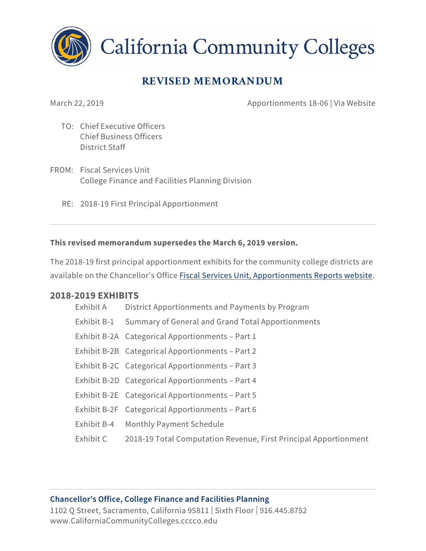

**California Community Colleges** 

# **REVISED MEMORANDUM**

March 22, 2019 **Apportionments 18-06** | Via Website

- TO: Chief Executive Officers Chief Business Officers District Staff
- FROM: Fiscal Services Unit College Finance and Facilities Planning Division
	- RE: 2018-19 First Principal Apportionment

#### **This revised memorandum supersedes the March 6, 2019 version.**

The 2018-19 first principal apportionment exhibits for the community college districts are available on the Chancellor's Office [Fiscal Services Unit, Apportionments Reports website.](http://extranet.cccco.edu/Divisions/FinanceFacilities/FiscalServicesUnit/Reports/ApportionmentReports/201819.aspx)

#### **2018-2019 EXHIBITS**

| Exhibit A   | District Apportionments and Payments by Program                  |
|-------------|------------------------------------------------------------------|
| Exhibit B-1 | Summary of General and Grand Total Apportionments                |
|             | Exhibit B-2A Categorical Apportionments - Part 1                 |
|             | Exhibit B-2B Categorical Apportionments - Part 2                 |
|             | Exhibit B-2C Categorical Apportionments - Part 3                 |
|             | Exhibit B-2D Categorical Apportionments - Part 4                 |
|             | Exhibit B-2E Categorical Apportionments - Part 5                 |
|             | Exhibit B-2F Categorical Apportionments – Part 6                 |
|             | Exhibit B-4 Monthly Payment Schedule                             |
| Exhibit C   | 2018-19 Total Computation Revenue, First Principal Apportionment |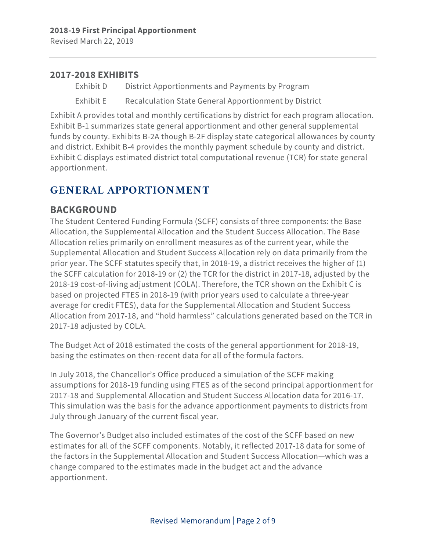Revised March 22, 2019

#### **2017-2018 EXHIBITS**

Exhibit D District Apportionments and Payments by Program

Exhibit E Recalculation State General Apportionment by District

Exhibit A provides total and monthly certifications by district for each program allocation. Exhibit B-1 summarizes state general apportionment and other general supplemental funds by county. Exhibits B-2A though B-2F display state categorical allowances by county and district. Exhibit B-4 provides the monthly payment schedule by county and district. Exhibit C displays estimated district total computational revenue (TCR) for state general apportionment.

# **GENERAL APPORTIONMENT**

### **BACKGROUND**

The Student Centered Funding Formula (SCFF) consists of three components: the Base Allocation, the Supplemental Allocation and the Student Success Allocation. The Base Allocation relies primarily on enrollment measures as of the current year, while the Supplemental Allocation and Student Success Allocation rely on data primarily from the prior year. The SCFF statutes specify that, in 2018-19, a district receives the higher of (1) the SCFF calculation for 2018-19 or (2) the TCR for the district in 2017-18, adjusted by the 2018-19 cost-of-living adjustment (COLA). Therefore, the TCR shown on the Exhibit C is based on projected FTES in 2018-19 (with prior years used to calculate a three-year average for credit FTES), data for the Supplemental Allocation and Student Success Allocation from 2017-18, and "hold harmless" calculations generated based on the TCR in 2017-18 adjusted by COLA.

The Budget Act of 2018 estimated the costs of the general apportionment for 2018-19, basing the estimates on then-recent data for all of the formula factors.

In July 2018, the Chancellor's Office produced a simulation of the SCFF making assumptions for 2018-19 funding using FTES as of the second principal apportionment for 2017-18 and Supplemental Allocation and Student Success Allocation data for 2016-17. This simulation was the basis for the advance apportionment payments to districts from July through January of the current fiscal year.

The Governor's Budget also included estimates of the cost of the SCFF based on new estimates for all of the SCFF components. Notably, it reflected 2017-18 data for some of the factors in the Supplemental Allocation and Student Success Allocation—which was a change compared to the estimates made in the budget act and the advance apportionment.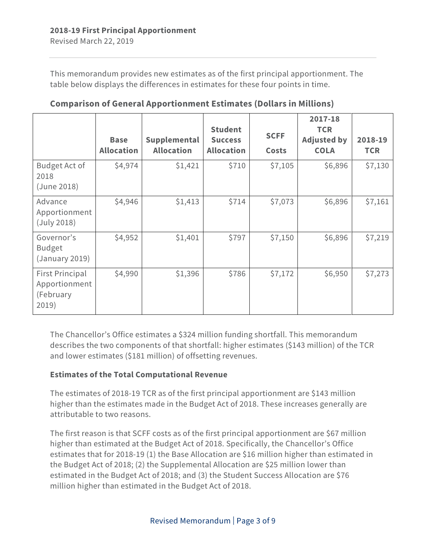This memorandum provides new estimates as of the first principal apportionment. The table below displays the differences in estimates for these four points in time.

|                                                               | <b>Base</b><br><b>Allocation</b> | Supplemental<br><b>Allocation</b> | <b>Student</b><br><b>Success</b><br><b>Allocation</b> | <b>SCFF</b><br><b>Costs</b> | 2017-18<br><b>TCR</b><br><b>Adjusted by</b><br><b>COLA</b> | 2018-19<br><b>TCR</b> |
|---------------------------------------------------------------|----------------------------------|-----------------------------------|-------------------------------------------------------|-----------------------------|------------------------------------------------------------|-----------------------|
| Budget Act of<br>2018<br>(June 2018)                          | \$4,974                          | \$1,421                           | \$710                                                 | \$7,105                     | \$6,896                                                    | \$7,130               |
| Advance<br>Apportionment<br>(July 2018)                       | \$4,946                          | \$1,413                           | \$714                                                 | \$7,073                     | \$6,896                                                    | \$7,161               |
| Governor's<br><b>Budget</b><br>(January 2019)                 | \$4,952                          | \$1,401                           | \$797                                                 | \$7,150                     | \$6,896                                                    | \$7,219               |
| <b>First Principal</b><br>Apportionment<br>(February<br>2019) | \$4,990                          | \$1,396                           | \$786                                                 | \$7,172                     | \$6,950                                                    | \$7,273               |

**Comparison of General Apportionment Estimates (Dollars in Millions)**

The Chancellor's Office estimates a \$324 million funding shortfall. This memorandum describes the two components of that shortfall: higher estimates (\$143 million) of the TCR and lower estimates (\$181 million) of offsetting revenues.

#### **Estimates of the Total Computational Revenue**

The estimates of 2018-19 TCR as of the first principal apportionment are \$143 million higher than the estimates made in the Budget Act of 2018. These increases generally are attributable to two reasons.

The first reason is that SCFF costs as of the first principal apportionment are \$67 million higher than estimated at the Budget Act of 2018. Specifically, the Chancellor's Office estimates that for 2018-19 (1) the Base Allocation are \$16 million higher than estimated in the Budget Act of 2018; (2) the Supplemental Allocation are \$25 million lower than estimated in the Budget Act of 2018; and (3) the Student Success Allocation are \$76 million higher than estimated in the Budget Act of 2018.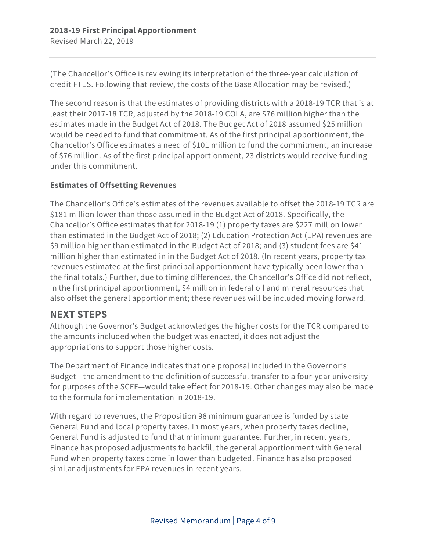(The Chancellor's Office is reviewing its interpretation of the three-year calculation of credit FTES. Following that review, the costs of the Base Allocation may be revised.)

The second reason is that the estimates of providing districts with a 2018-19 TCR that is at least their 2017-18 TCR, adjusted by the 2018-19 COLA, are \$76 million higher than the estimates made in the Budget Act of 2018. The Budget Act of 2018 assumed \$25 million would be needed to fund that commitment. As of the first principal apportionment, the Chancellor's Office estimates a need of \$101 million to fund the commitment, an increase of \$76 million. As of the first principal apportionment, 23 districts would receive funding under this commitment.

#### **Estimates of Offsetting Revenues**

The Chancellor's Office's estimates of the revenues available to offset the 2018-19 TCR are \$181 million lower than those assumed in the Budget Act of 2018. Specifically, the Chancellor's Office estimates that for 2018-19 (1) property taxes are \$227 million lower than estimated in the Budget Act of 2018; (2) Education Protection Act (EPA) revenues are \$9 million higher than estimated in the Budget Act of 2018; and (3) student fees are \$41 million higher than estimated in in the Budget Act of 2018. (In recent years, property tax revenues estimated at the first principal apportionment have typically been lower than the final totals.) Further, due to timing differences, the Chancellor's Office did not reflect, in the first principal apportionment, \$4 million in federal oil and mineral resources that also offset the general apportionment; these revenues will be included moving forward.

### **NEXT STEPS**

Although the Governor's Budget acknowledges the higher costs for the TCR compared to the amounts included when the budget was enacted, it does not adjust the appropriations to support those higher costs.

The Department of Finance indicates that one proposal included in the Governor's Budget—the amendment to the definition of successful transfer to a four-year university for purposes of the SCFF—would take effect for 2018-19. Other changes may also be made to the formula for implementation in 2018-19.

With regard to revenues, the Proposition 98 minimum guarantee is funded by state General Fund and local property taxes. In most years, when property taxes decline, General Fund is adjusted to fund that minimum guarantee. Further, in recent years, Finance has proposed adjustments to backfill the general apportionment with General Fund when property taxes come in lower than budgeted. Finance has also proposed similar adjustments for EPA revenues in recent years.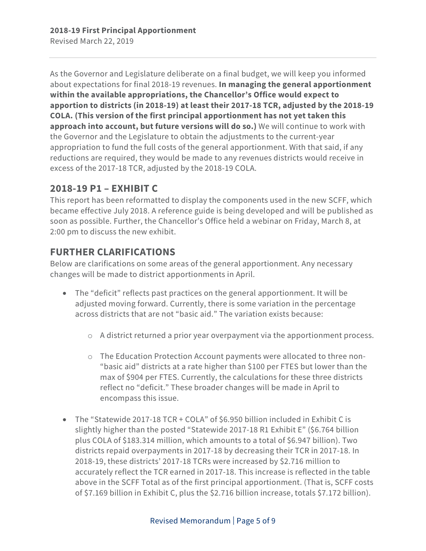As the Governor and Legislature deliberate on a final budget, we will keep you informed about expectations for final 2018-19 revenues. **In managing the general apportionment within the available appropriations, the Chancellor's Office would expect to apportion to districts (in 2018-19) at least their 2017-18 TCR, adjusted by the 2018-19 COLA. (This version of the first principal apportionment has not yet taken this approach into account, but future versions will do so.)** We will continue to work with the Governor and the Legislature to obtain the adjustments to the current-year appropriation to fund the full costs of the general apportionment. With that said, if any reductions are required, they would be made to any revenues districts would receive in excess of the 2017-18 TCR, adjusted by the 2018-19 COLA.

### **2018-19 P1 – EXHIBIT C**

This report has been reformatted to display the components used in the new SCFF, which became effective July 2018. A reference guide is being developed and will be published as soon as possible. Further, the Chancellor's Office held a webinar on Friday, March 8, at 2:00 pm to discuss the new exhibit.

# **FURTHER CLARIFICATIONS**

Below are clarifications on some areas of the general apportionment. Any necessary changes will be made to district apportionments in April.

- The "deficit" reflects past practices on the general apportionment. It will be adjusted moving forward. Currently, there is some variation in the percentage across districts that are not "basic aid." The variation exists because:
	- o A district returned a prior year overpayment via the apportionment process.
	- o The Education Protection Account payments were allocated to three non- "basic aid" districts at a rate higher than \$100 per FTES but lower than the max of \$904 per FTES. Currently, the calculations for these three districts reflect no "deficit." These broader changes will be made in April to encompass this issue.
- The "Statewide 2017-18 TCR + COLA" of \$6.950 billion included in Exhibit C is slightly higher than the posted "Statewide 2017-18 R1 Exhibit E" (\$6.764 billion plus COLA of \$183.314 million, which amounts to a total of \$6.947 billion). Two districts repaid overpayments in 2017-18 by decreasing their TCR in 2017-18. In 2018-19, these districts' 2017-18 TCRs were increased by \$2.716 million to accurately reflect the TCR earned in 2017-18. This increase is reflected in the table above in the SCFF Total as of the first principal apportionment. (That is, SCFF costs of \$7.169 billion in Exhibit C, plus the \$2.716 billion increase, totals \$7.172 billion).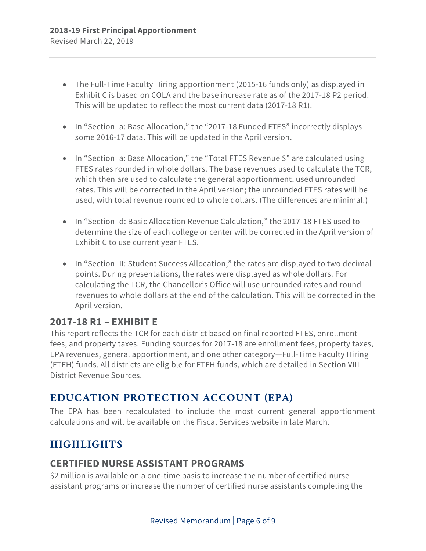- The Full-Time Faculty Hiring apportionment (2015-16 funds only) as displayed in Exhibit C is based on COLA and the base increase rate as of the 2017-18 P2 period. This will be updated to reflect the most current data (2017-18 R1).
- In "Section Ia: Base Allocation," the "2017-18 Funded FTES" incorrectly displays some 2016-17 data. This will be updated in the April version.
- In "Section Ia: Base Allocation," the "Total FTES Revenue \$" are calculated using FTES rates rounded in whole dollars. The base revenues used to calculate the TCR, which then are used to calculate the general apportionment, used unrounded rates. This will be corrected in the April version; the unrounded FTES rates will be used, with total revenue rounded to whole dollars. (The differences are minimal.)
- In "Section Id: Basic Allocation Revenue Calculation," the 2017-18 FTES used to determine the size of each college or center will be corrected in the April version of Exhibit C to use current year FTES.
- In "Section III: Student Success Allocation," the rates are displayed to two decimal points. During presentations, the rates were displayed as whole dollars. For calculating the TCR, the Chancellor's Office will use unrounded rates and round revenues to whole dollars at the end of the calculation. This will be corrected in the April version.

### **2017-18 R1 – EXHIBIT E**

This report reflects the TCR for each district based on final reported FTES, enrollment fees, and property taxes. Funding sources for 2017-18 are enrollment fees, property taxes, EPA revenues, general apportionment, and one other category—Full-Time Faculty Hiring (FTFH) funds. All districts are eligible for FTFH funds, which are detailed in Section VIII District Revenue Sources.

## **EDUCATION PROTECTION ACCOUNT (EPA)**

The EPA has been recalculated to include the most current general apportionment calculations and will be available on the Fiscal Services website in late March.

# **HIGHLIGHTS**

### **CERTIFIED NURSE ASSISTANT PROGRAMS**

\$2 million is available on a one-time basis to increase the number of certified nurse assistant programs or increase the number of certified nurse assistants completing the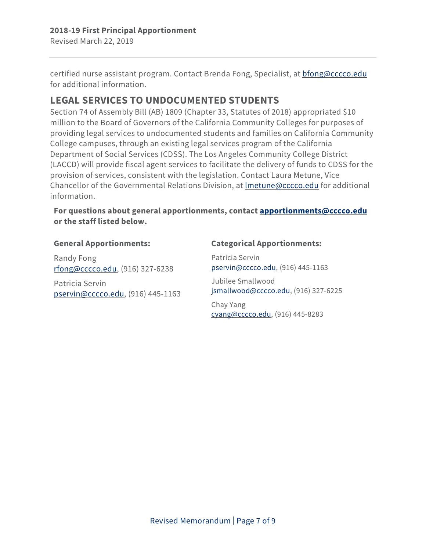certified nurse assistant program. Contact Brenda Fong, Specialist, at [bfong@cccco.edu](mailto:bfong@cccco.edu) for additional information.

# **LEGAL SERVICES TO UNDOCUMENTED STUDENTS**

Section 74 of Assembly Bill (AB) 1809 (Chapter 33, Statutes of 2018) appropriated \$10 million to the Board of Governors of the California Community Colleges for purposes of providing legal services to undocumented students and families on California Community College campuses, through an existing legal services program of the California Department of Social Services (CDSS). The Los Angeles Community College District (LACCD) will provide fiscal agent services to facilitate the delivery of funds to CDSS for the provision of services, consistent with the legislation. Contact Laura Metune, Vice Chancellor of the Governmental Relations Division, at [lmetune@cccco.edu](mailto:lmetune@cccco.edu) for additional information.

#### **For questions about general apportionments, contact [apportionments@cccco.edu](mailto:apportionments@cccco.edu) or the staff listed below.**

#### **General Apportionments:**

Randy Fong [rfong@cccco.edu,](mailto:rfong@cccco.edu) (916) 327-6238

Patricia Servin [pservin@cccco.edu,](mailto:pservin@cccco.edu) (916) 445-1163

#### **Categorical Apportionments:**

Patricia Servin [pservin@cccco.edu,](mailto:pservin@cccco.edu) (916) 445-1163

Jubilee Smallwood [jsmallwood@cccco.edu,](mailto:jsmallwood@cccco.edu) (916) 327-6225

Chay Yang [cyang@cccco.edu,](mailto:cyang@cccco.edu) (916) 445-8283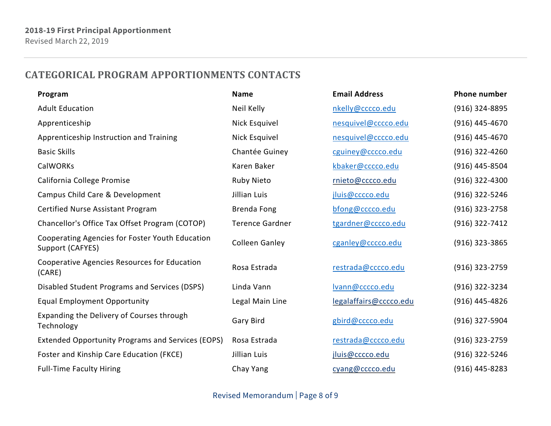## **CATEGORICAL PROGRAM APPORTIONMENTS CONTACTS**

| Program                                                             | <b>Name</b>            | <b>Email Address</b>   | <b>Phone number</b> |
|---------------------------------------------------------------------|------------------------|------------------------|---------------------|
| <b>Adult Education</b>                                              | Neil Kelly             | nkelly@cccco.edu       | (916) 324-8895      |
| Apprenticeship                                                      | Nick Esquivel          | nesquivel@cccco.edu    | $(916)$ 445-4670    |
| Apprenticeship Instruction and Training                             | Nick Esquivel          | nesquivel@cccco.edu    | (916) 445-4670      |
| <b>Basic Skills</b>                                                 | Chantée Guiney         | cguiney@cccco.edu      | $(916)$ 322-4260    |
| <b>CalWORKs</b>                                                     | Karen Baker            | kbaker@cccco.edu       | (916) 445-8504      |
| California College Promise                                          | Ruby Nieto             | rnieto@cccco.edu       | $(916)$ 322-4300    |
| Campus Child Care & Development                                     | Jillian Luis           | jluis@cccco.edu        | (916) 322-5246      |
| Certified Nurse Assistant Program                                   | <b>Brenda Fong</b>     | bfong@cccco.edu        | (916) 323-2758      |
| Chancellor's Office Tax Offset Program (COTOP)                      | <b>Terence Gardner</b> | tgardner@cccco.edu     | (916) 322-7412      |
| Cooperating Agencies for Foster Youth Education<br>Support (CAFYES) | <b>Colleen Ganley</b>  | cganley@cccco.edu      | $(916)$ 323-3865    |
| Cooperative Agencies Resources for Education<br>(CARE)              | Rosa Estrada           | restrada@cccco.edu     | (916) 323-2759      |
| Disabled Student Programs and Services (DSPS)                       | Linda Vann             | Ivann@cccco.edu        | (916) 322-3234      |
| <b>Equal Employment Opportunity</b>                                 | Legal Main Line        | legalaffairs@cccco.edu | (916) 445-4826      |
| Expanding the Delivery of Courses through<br>Technology             | Gary Bird              | gbird@cccco.edu        | (916) 327-5904      |
| <b>Extended Opportunity Programs and Services (EOPS)</b>            | Rosa Estrada           | restrada@cccco.edu     | $(916)$ 323-2759    |
| Foster and Kinship Care Education (FKCE)                            | Jillian Luis           | jluis@cccco.edu        | (916) 322-5246      |
| <b>Full-Time Faculty Hiring</b>                                     | Chay Yang              | cyang@cccco.edu        | $(916)$ 445-8283    |

Revised Memorandum | Page 8 of 9